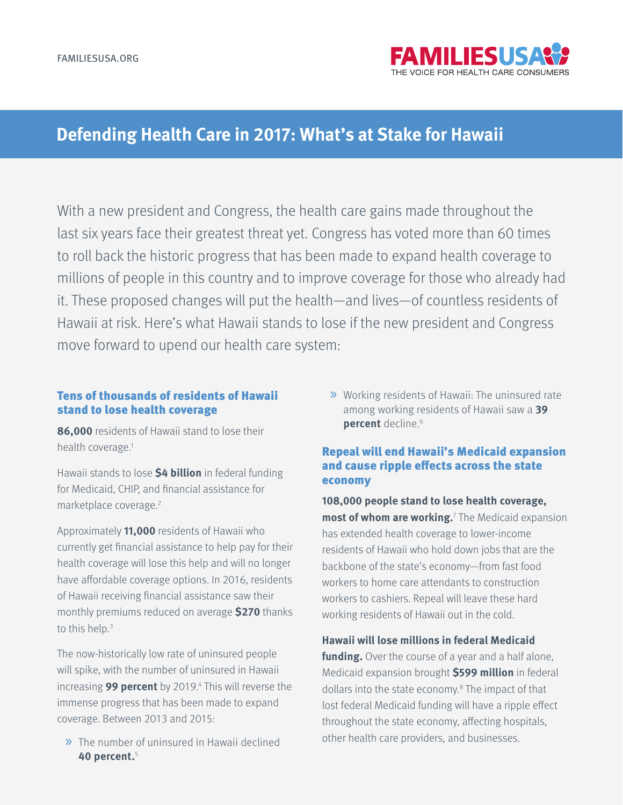

# **Defending Health Care in 2017: What's at Stake for Hawaii**

With a new president and Congress, the health care gains made throughout the last six years face their greatest threat yet. Congress has voted more than 60 times to roll back the historic progress that has been made to expand health coverage to millions of people in this country and to improve coverage for those who already had it. These proposed changes will put the health—and lives—of countless residents of Hawaii at risk. Here's what Hawaii stands to lose if the new president and Congress move forward to upend our health care system:

#### Tens of thousands of residents of Hawaii stand to lose health coverage

**86,000** residents of Hawaii stand to lose their health coverage.<sup>1</sup>

Hawaii stands to lose **\$4 billion** in federal funding for Medicaid, CHIP, and financial assistance for marketplace coverage.2

Approximately **11,000** residents of Hawaii who currently get financial assistance to help pay for their health coverage will lose this help and will no longer have affordable coverage options. In 2016, residents of Hawaii receiving financial assistance saw their monthly premiums reduced on average **\$270** thanks to this help.3

The now-historically low rate of uninsured people will spike, with the number of uninsured in Hawaii increasing **99 percent** by 2019.4 This will reverse the immense progress that has been made to expand coverage. Between 2013 and 2015:

» The number of uninsured in Hawaii declined **40 percent.**<sup>5</sup>

» Working residents of Hawaii: The uninsured rate among working residents of Hawaii saw a **39 percent** decline.<sup>6</sup>

### Repeal will end Hawaii's Medicaid expansion and cause ripple effects across the state economy

**108,000 people stand to lose health coverage, most of whom are working.**<sup>7</sup> The Medicaid expansion has extended health coverage to lower-income residents of Hawaii who hold down jobs that are the backbone of the state's economy—from fast food workers to home care attendants to construction workers to cashiers. Repeal will leave these hard working residents of Hawaii out in the cold.

**Hawaii will lose millions in federal Medicaid**  funding. Over the course of a year and a half alone, Medicaid expansion brought **\$599 million** in federal dollars into the state economy.<sup>8</sup> The impact of that lost federal Medicaid funding will have a ripple effect throughout the state economy, affecting hospitals, other health care providers, and businesses.